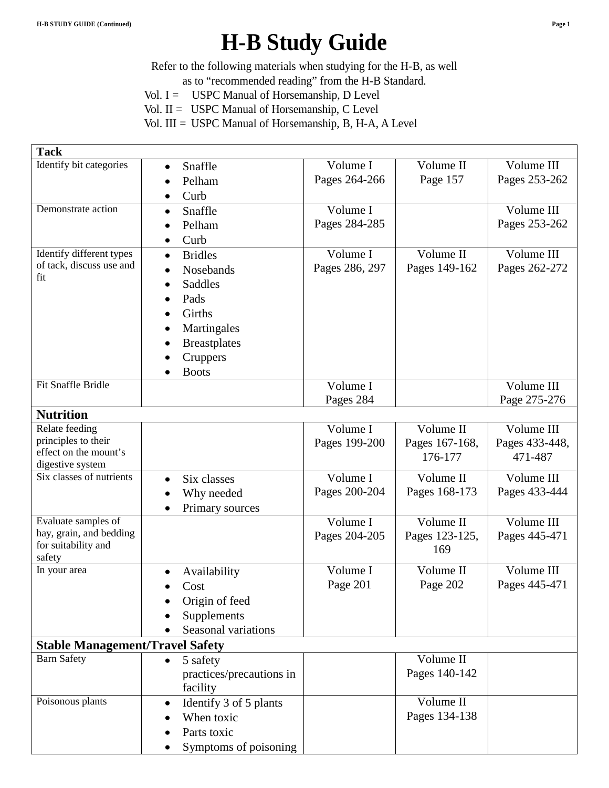## **H-B Study Guide**

Refer to the following materials when studying for the H-B, as well

as to "recommended reading" from the H-B Standard.

- Vol. I = USPC Manual of Horsemanship, D Level
- Vol. II = USPC Manual of Horsemanship, C Level

Vol. III = USPC Manual of Horsemanship, B, H-A, A Level

| <b>Tack</b>                                  |                             |                |                |                          |
|----------------------------------------------|-----------------------------|----------------|----------------|--------------------------|
| Identify bit categories                      | Snaffle                     | Volume I       | Volume II      | Volume III               |
|                                              | Pelham                      | Pages 264-266  | Page 157       | Pages 253-262            |
|                                              | Curb<br>$\bullet$           |                |                |                          |
| Demonstrate action                           | Snaffle<br>$\bullet$        | Volume I       |                | Volume III               |
|                                              | Pelham                      | Pages 284-285  |                | Pages 253-262            |
|                                              | Curb                        |                |                |                          |
| Identify different types                     | <b>Bridles</b><br>$\bullet$ | Volume I       | Volume II      | Volume III               |
| of tack, discuss use and                     | Nosebands                   | Pages 286, 297 | Pages 149-162  | Pages 262-272            |
| fit                                          | Saddles                     |                |                |                          |
|                                              | Pads                        |                |                |                          |
|                                              | Girths                      |                |                |                          |
|                                              | Martingales                 |                |                |                          |
|                                              | <b>Breastplates</b>         |                |                |                          |
|                                              | Cruppers                    |                |                |                          |
|                                              | <b>Boots</b>                |                |                |                          |
| Fit Snaffle Bridle                           |                             | Volume I       |                | $\overline{V}$ olume III |
|                                              |                             | Pages 284      |                | Page 275-276             |
| <b>Nutrition</b>                             |                             |                |                |                          |
| Relate feeding                               |                             | Volume I       | Volume II      | Volume III               |
| principles to their                          |                             | Pages 199-200  | Pages 167-168, | Pages 433-448,           |
| effect on the mount's                        |                             |                | 176-177        | 471-487                  |
| digestive system<br>Six classes of nutrients | Six classes                 | Volume I       | Volume II      | Volume III               |
|                                              | Why needed                  | Pages 200-204  | Pages 168-173  | Pages 433-444            |
|                                              | Primary sources             |                |                |                          |
| Evaluate samples of                          |                             | Volume I       | Volume II      | Volume III               |
| hay, grain, and bedding                      |                             | Pages 204-205  | Pages 123-125, | Pages 445-471            |
| for suitability and                          |                             |                | 169            |                          |
| safety                                       |                             |                |                |                          |
| In your area                                 | Availability                | Volume I       | Volume II      | Volume III               |
|                                              | Cost                        | Page 201       | Page 202       | Pages 445-471            |
|                                              | Origin of feed              |                |                |                          |
|                                              | Supplements                 |                |                |                          |
|                                              | Seasonal variations         |                |                |                          |
| <b>Stable Management/Travel Safety</b>       |                             |                |                |                          |
| <b>Barn Safety</b>                           | 5 safety<br>$\bullet$       |                | Volume II      |                          |
|                                              | practices/precautions in    |                | Pages 140-142  |                          |
|                                              | facility                    |                |                |                          |
| Poisonous plants                             | Identify 3 of 5 plants<br>٠ |                | Volume II      |                          |
|                                              | When toxic                  |                | Pages 134-138  |                          |
|                                              | Parts toxic                 |                |                |                          |
|                                              | Symptoms of poisoning       |                |                |                          |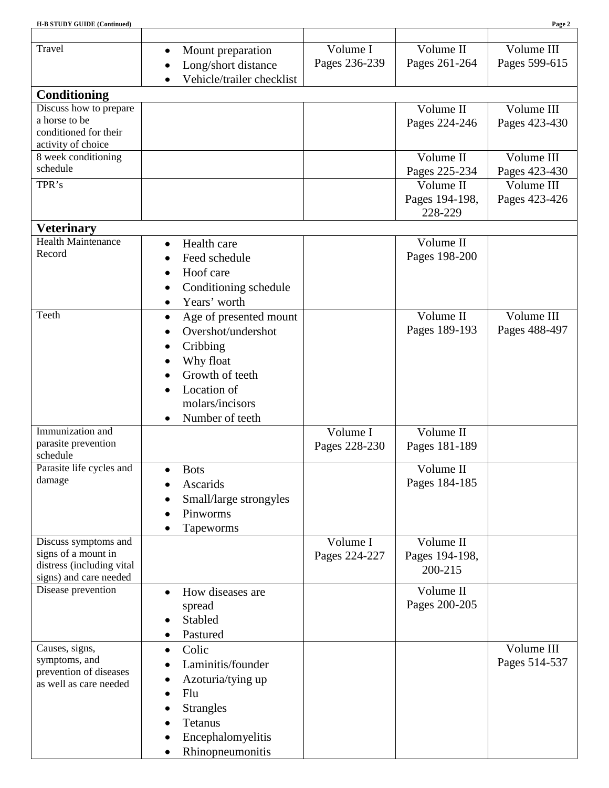| <b>H-B STUDY GUIDE (Continued)</b>          |                                                                                    |                           |                            | Page 2                      |
|---------------------------------------------|------------------------------------------------------------------------------------|---------------------------|----------------------------|-----------------------------|
|                                             |                                                                                    |                           |                            |                             |
| Travel                                      | Mount preparation<br>$\bullet$<br>Long/short distance<br>Vehicle/trailer checklist | Volume I<br>Pages 236-239 | Volume II<br>Pages 261-264 | Volume III<br>Pages 599-615 |
|                                             |                                                                                    |                           |                            |                             |
| Conditioning                                |                                                                                    |                           |                            |                             |
| Discuss how to prepare                      |                                                                                    |                           | Volume II                  | Volume III                  |
| a horse to be                               |                                                                                    |                           | Pages 224-246              | Pages 423-430               |
| conditioned for their<br>activity of choice |                                                                                    |                           |                            |                             |
| 8 week conditioning                         |                                                                                    |                           | Volume II                  | Volume III                  |
| schedule                                    |                                                                                    |                           |                            |                             |
|                                             |                                                                                    |                           | Pages 225-234              | Pages 423-430               |
| TPR's                                       |                                                                                    |                           | Volume II                  | Volume III                  |
|                                             |                                                                                    |                           | Pages 194-198,             | Pages 423-426               |
|                                             |                                                                                    |                           | 228-229                    |                             |
| <b>Veterinary</b>                           |                                                                                    |                           |                            |                             |
| <b>Health Maintenance</b>                   | Health care<br>$\bullet$                                                           |                           | Volume II                  |                             |
| Record                                      | Feed schedule                                                                      |                           | Pages 198-200              |                             |
|                                             | Hoof care                                                                          |                           |                            |                             |
|                                             |                                                                                    |                           |                            |                             |
|                                             | Conditioning schedule                                                              |                           |                            |                             |
|                                             | Years' worth                                                                       |                           |                            |                             |
| Teeth                                       | Age of presented mount<br>$\bullet$                                                |                           | Volume II                  | Volume III                  |
|                                             | Overshot/undershot                                                                 |                           | Pages 189-193              | Pages 488-497               |
|                                             | Cribbing                                                                           |                           |                            |                             |
|                                             | Why float                                                                          |                           |                            |                             |
|                                             | Growth of teeth                                                                    |                           |                            |                             |
|                                             |                                                                                    |                           |                            |                             |
|                                             | Location of                                                                        |                           |                            |                             |
|                                             | molars/incisors                                                                    |                           |                            |                             |
|                                             | Number of teeth                                                                    |                           |                            |                             |
| Immunization and                            |                                                                                    | Volume I                  | Volume II                  |                             |
| parasite prevention                         |                                                                                    | Pages 228-230             | Pages 181-189              |                             |
| schedule                                    |                                                                                    |                           |                            |                             |
| Parasite life cycles and                    | <b>Bots</b>                                                                        |                           | Volume II                  |                             |
| damage                                      | Ascarids                                                                           |                           | Pages 184-185              |                             |
|                                             | Small/large strongyles                                                             |                           |                            |                             |
|                                             | Pinworms                                                                           |                           |                            |                             |
|                                             | Tapeworms                                                                          |                           |                            |                             |
| Discuss symptoms and                        |                                                                                    | Volume I                  | Volume II                  |                             |
| signs of a mount in                         |                                                                                    | Pages 224-227             | Pages 194-198,             |                             |
| distress (including vital                   |                                                                                    |                           | 200-215                    |                             |
| signs) and care needed                      |                                                                                    |                           |                            |                             |
| Disease prevention                          | How diseases are<br>$\bullet$                                                      |                           | Volume II                  |                             |
|                                             | spread                                                                             |                           | Pages 200-205              |                             |
|                                             | Stabled                                                                            |                           |                            |                             |
|                                             | Pastured                                                                           |                           |                            |                             |
|                                             |                                                                                    |                           |                            | Volume III                  |
| Causes, signs,<br>symptoms, and             | Colic<br>$\bullet$                                                                 |                           |                            |                             |
| prevention of diseases                      | Laminitis/founder                                                                  |                           |                            | Pages 514-537               |
| as well as care needed                      | Azoturia/tying up                                                                  |                           |                            |                             |
|                                             | Flu                                                                                |                           |                            |                             |
|                                             | <b>Strangles</b>                                                                   |                           |                            |                             |
|                                             | Tetanus                                                                            |                           |                            |                             |
|                                             | Encephalomyelitis                                                                  |                           |                            |                             |
|                                             |                                                                                    |                           |                            |                             |
|                                             | Rhinopneumonitis                                                                   |                           |                            |                             |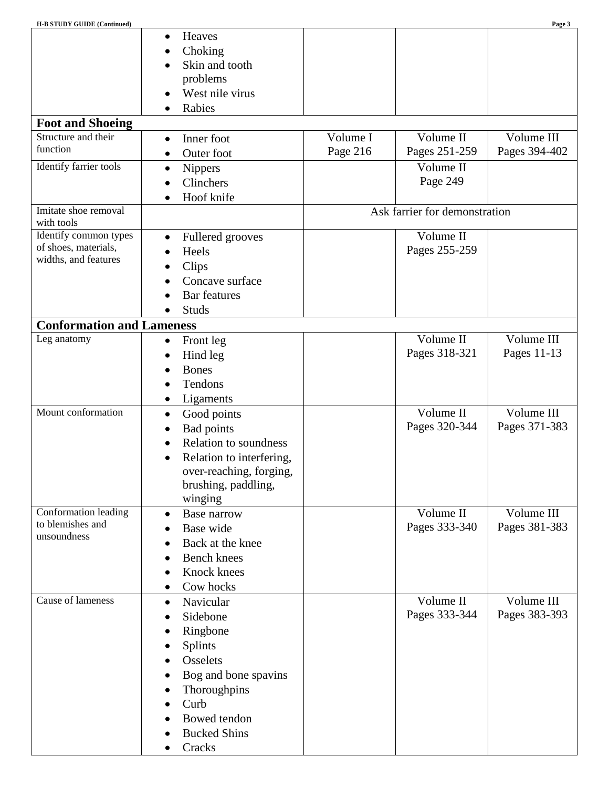| <b>H-B STUDY GUIDE (Continued)</b>           |                                                |          |                               | Page 3        |
|----------------------------------------------|------------------------------------------------|----------|-------------------------------|---------------|
|                                              | Heaves                                         |          |                               |               |
|                                              | Choking                                        |          |                               |               |
|                                              | Skin and tooth                                 |          |                               |               |
|                                              | problems                                       |          |                               |               |
|                                              | West nile virus                                |          |                               |               |
|                                              | Rabies                                         |          |                               |               |
| <b>Foot and Shoeing</b>                      |                                                |          |                               |               |
| Structure and their<br>function              | Inner foot<br>$\bullet$                        | Volume I | Volume II                     | Volume III    |
|                                              | Outer foot<br>$\bullet$                        | Page 216 | Pages 251-259                 | Pages 394-402 |
| Identify farrier tools                       | <b>Nippers</b><br>$\bullet$                    |          | Volume II                     |               |
|                                              | Clinchers                                      |          | Page 249                      |               |
|                                              | Hoof knife                                     |          |                               |               |
| Imitate shoe removal<br>with tools           |                                                |          | Ask farrier for demonstration |               |
| Identify common types                        | Fullered grooves<br>$\bullet$                  |          | Volume II                     |               |
| of shoes, materials,<br>widths, and features | Heels                                          |          | Pages 255-259                 |               |
|                                              | Clips                                          |          |                               |               |
|                                              | Concave surface                                |          |                               |               |
|                                              | <b>Bar</b> features                            |          |                               |               |
|                                              | <b>Studs</b>                                   |          |                               |               |
| <b>Conformation and Lameness</b>             |                                                |          |                               |               |
| Leg anatomy                                  | Front leg<br>$\bullet$                         |          | Volume II                     | Volume III    |
|                                              | Hind leg                                       |          | Pages 318-321                 | Pages 11-13   |
|                                              | <b>Bones</b>                                   |          |                               |               |
|                                              | Tendons                                        |          |                               |               |
|                                              | Ligaments                                      |          |                               |               |
| Mount conformation                           | Good points<br>$\bullet$                       |          | Volume II                     | Volume III    |
|                                              | <b>Bad points</b>                              |          | Pages 320-344                 | Pages 371-383 |
|                                              | <b>Relation to soundness</b>                   |          |                               |               |
|                                              | Relation to interfering,                       |          |                               |               |
|                                              | over-reaching, forging,<br>brushing, paddling, |          |                               |               |
|                                              | winging                                        |          |                               |               |
| Conformation leading                         | Base narrow<br>$\bullet$                       |          | Volume II                     | Volume III    |
| to blemishes and                             | Base wide                                      |          | Pages 333-340                 | Pages 381-383 |
| unsoundness                                  | Back at the knee                               |          |                               |               |
|                                              | Bench knees                                    |          |                               |               |
|                                              | Knock knees                                    |          |                               |               |
|                                              | Cow hocks                                      |          |                               |               |
| Cause of lameness                            | Navicular<br>$\bullet$                         |          | Volume II                     | Volume III    |
|                                              | Sidebone                                       |          | Pages 333-344                 | Pages 383-393 |
|                                              | Ringbone                                       |          |                               |               |
|                                              | Splints                                        |          |                               |               |
|                                              | Osselets                                       |          |                               |               |
|                                              | Bog and bone spavins                           |          |                               |               |
|                                              | Thoroughpins                                   |          |                               |               |
|                                              | Curb                                           |          |                               |               |
|                                              | Bowed tendon                                   |          |                               |               |
|                                              | <b>Bucked Shins</b>                            |          |                               |               |
|                                              | Cracks                                         |          |                               |               |